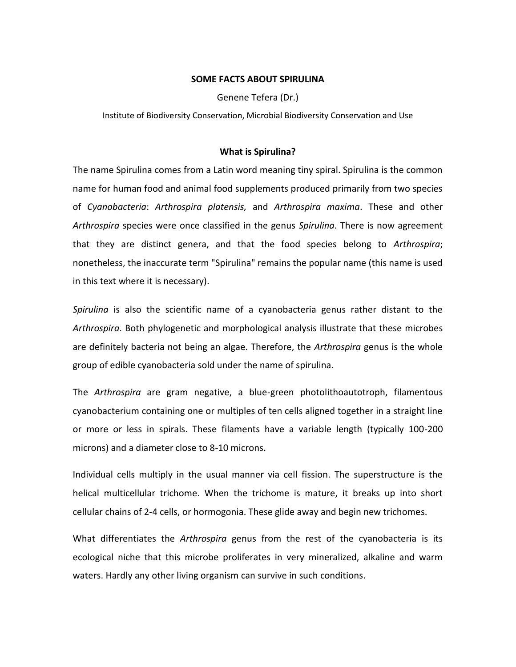#### **SOME FACTS ABOUT SPIRULINA**

Genene Tefera (Dr.)

Institute of Biodiversity Conservation, Microbial Biodiversity Conservation and Use

#### **What is Spirulina?**

The name Spirulina comes from a Latin word meaning tiny spiral. Spirulina is the common name for human food and animal food supplements produced primarily from two species of *Cyanobacteria*: *Arthrospira platensis,* and *Arthrospira maxima*. These and other *Arthrospira* species were once classified in the genus *Spirulina*. There is now agreement that they are distinct genera, and that the food species belong to *Arthrospira*; nonetheless, the inaccurate term "Spirulina" remains the popular name (this name is used in this text where it is necessary).

*Spirulina* is also the scientific name of a cyanobacteria genus rather distant to the *Arthrospira*. Both phylogenetic and morphological analysis illustrate that these microbes are definitely bacteria not being an algae. Therefore, the *Arthrospira* genus is the whole group of edible cyanobacteria sold under the name of spirulina.

The *Arthrospira* are gram negative, a blue-green photolithoautotroph, filamentous cyanobacterium containing one or multiples of ten cells aligned together in a straight line or more or less in spirals. These filaments have a variable length (typically 100-200 microns) and a diameter close to 8-10 microns.

Individual cells multiply in the usual manner via cell fission. The superstructure is the helical multicellular trichome. When the trichome is mature, it breaks up into short cellular chains of 2-4 cells, or hormogonia. These glide away and begin new trichomes.

What differentiates the *Arthrospira* genus from the rest of the cyanobacteria is its ecological niche that this microbe proliferates in very mineralized, alkaline and warm waters. Hardly any other living organism can survive in such conditions.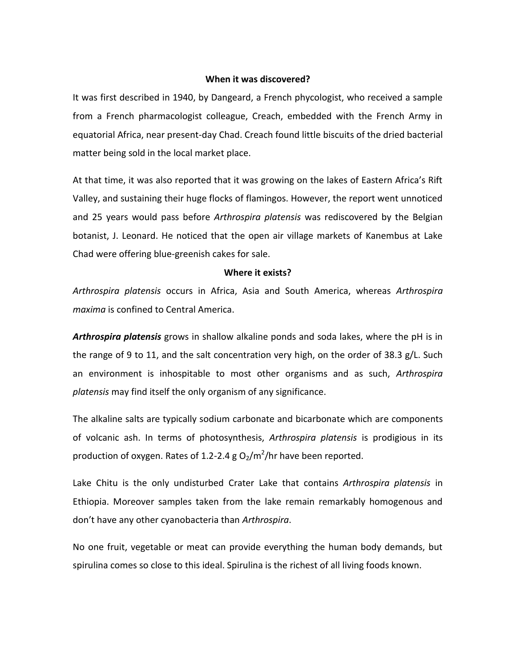#### **When it was discovered?**

It was first described in 1940, by Dangeard, a French phycologist, who received a sample from a French pharmacologist colleague, Creach, embedded with the French Army in equatorial Africa, near present-day Chad. Creach found little biscuits of the dried bacterial matter being sold in the local market place.

At that time, it was also reported that it was growing on the lakes of Eastern Africa's Rift Valley, and sustaining their huge flocks of flamingos. However, the report went unnoticed and 25 years would pass before *Arthrospira platensis* was rediscovered by the Belgian botanist, J. Leonard. He noticed that the open air village markets of Kanembus at Lake Chad were offering blue-greenish cakes for sale.

#### **Where it exists?**

*Arthrospira platensis* occurs in Africa, Asia and South America, whereas *Arthrospira maxima* is confined to Central America.

*Arthrospira platensis* grows in shallow alkaline ponds and soda lakes, where the pH is in the range of 9 to 11, and the salt concentration very high, on the order of 38.3 g/L. Such an environment is inhospitable to most other organisms and as such, *Arthrospira platensis* may find itself the only organism of any significance.

The alkaline salts are typically sodium carbonate and bicarbonate which are components of volcanic ash. In terms of photosynthesis, *Arthrospira platensis* is prodigious in its production of oxygen. Rates of 1.2-2.4 g O<sub>2</sub>/m<sup>2</sup>/hr have been reported.

Lake Chitu is the only undisturbed Crater Lake that contains *Arthrospira platensis* in Ethiopia. Moreover samples taken from the lake remain remarkably homogenous and don't have any other cyanobacteria than *Arthrospira*.

No one fruit, vegetable or meat can provide everything the human body demands, but spirulina comes so close to this ideal. Spirulina is the richest of all living foods known.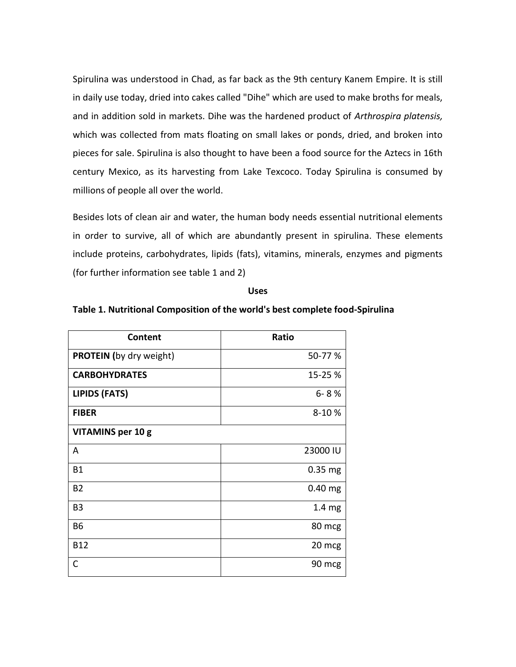Spirulina was understood in Chad, as far back as the 9th century Kanem Empire. It is still in daily use today, dried into cakes called "Dihe" which are used to make broths for meals, and in addition sold in markets. Dihe was the hardened product of *Arthrospira platensis,* which was collected from mats floating on small lakes or ponds, dried, and broken into pieces for sale. Spirulina is also thought to have been a food source for the Aztecs in 16th century Mexico, as its harvesting from Lake Texcoco. Today Spirulina is consumed by millions of people all over the world.

Besides lots of clean air and water, the human body needs essential nutritional elements in order to survive, all of which are abundantly present in spirulina. These elements include proteins, carbohydrates, lipids (fats), vitamins, minerals, enzymes and pigments (for further information see table 1 and 2)

**Uses**

#### **Table 1. Nutritional Composition of the world's best complete food-Spirulina**

| Content                        | Ratio             |
|--------------------------------|-------------------|
| <b>PROTEIN</b> (by dry weight) | 50-77 %           |
| <b>CARBOHYDRATES</b>           | 15-25 %           |
| <b>LIPIDS (FATS)</b>           | $6 - 8%$          |
| <b>FIBER</b>                   | 8-10%             |
| <b>VITAMINS per 10 g</b>       |                   |
| Α                              | 23000 IU          |
| <b>B1</b>                      | $0.35$ mg         |
| <b>B2</b>                      | $0.40$ mg         |
| B <sub>3</sub>                 | 1.4 <sub>mg</sub> |
| <b>B6</b>                      | 80 mcg            |
| <b>B12</b>                     | 20 mcg            |
| C                              | 90 mcg            |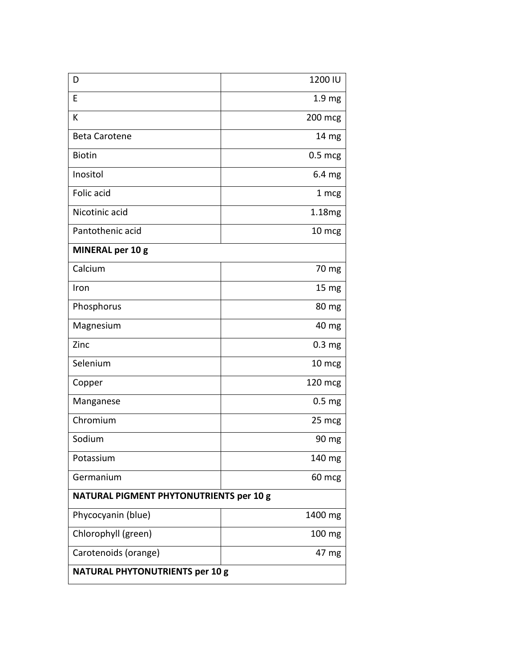| D                                       | 1200 IU            |  |
|-----------------------------------------|--------------------|--|
| E                                       | 1.9 <sub>mg</sub>  |  |
| K                                       | 200 mcg            |  |
| <b>Beta Carotene</b>                    | 14 <sub>mg</sub>   |  |
| <b>Biotin</b>                           | $0.5$ mcg          |  |
| Inositol                                | 6.4 <sub>mg</sub>  |  |
| Folic acid                              | 1 mcg              |  |
| Nicotinic acid                          | 1.18 <sub>mg</sub> |  |
| Pantothenic acid                        | 10 mcg             |  |
| <b>MINERAL per 10 g</b>                 |                    |  |
| Calcium                                 | 70 mg              |  |
| Iron                                    | 15 <sub>mg</sub>   |  |
| Phosphorus                              | $80 \, \text{mg}$  |  |
| Magnesium                               | 40 mg              |  |
| Zinc                                    | 0.3 <sub>mg</sub>  |  |
| Selenium                                | 10 mcg             |  |
| Copper                                  | 120 mcg            |  |
| Manganese                               | 0.5 <sub>mg</sub>  |  |
| Chromium                                | 25 mcg             |  |
| Sodium                                  | 90 mg              |  |
| Potassium                               | 140 mg             |  |
| Germanium                               | 60 mcg             |  |
| NATURAL PIGMENT PHYTONUTRIENTS per 10 g |                    |  |
| Phycocyanin (blue)                      | 1400 mg            |  |
| Chlorophyll (green)                     | 100 mg             |  |
| Carotenoids (orange)                    | 47 mg              |  |
| <b>NATURAL PHYTONUTRIENTS per 10 g</b>  |                    |  |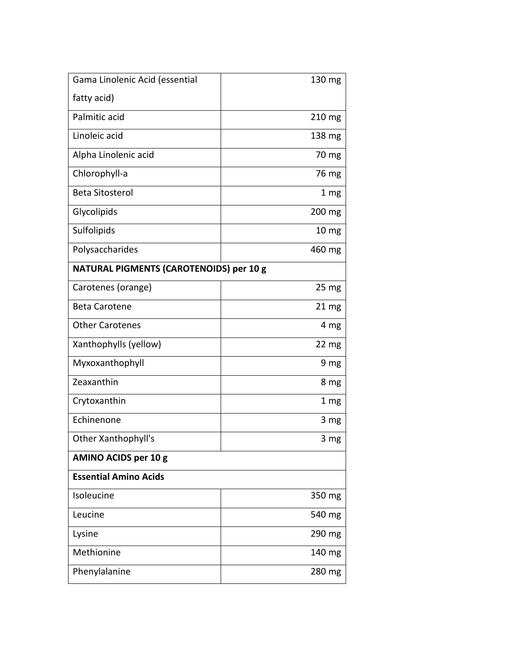| Gama Linolenic Acid (essential          | 130 mg           |  |
|-----------------------------------------|------------------|--|
| fatty acid)                             |                  |  |
| Palmitic acid                           | 210 mg           |  |
| Linoleic acid                           | 138 mg           |  |
| Alpha Linolenic acid                    | 70 mg            |  |
| Chlorophyll-a                           | 76 mg            |  |
| <b>Beta Sitosterol</b>                  | 1 <sub>mg</sub>  |  |
| Glycolipids                             | 200 mg           |  |
| Sulfolipids                             | 10 <sub>mg</sub> |  |
| Polysaccharides                         | 460 mg           |  |
| NATURAL PIGMENTS (CAROTENOIDS) per 10 g |                  |  |
| Carotenes (orange)                      | 25 <sub>mg</sub> |  |
| <b>Beta Carotene</b>                    | 21 <sub>mg</sub> |  |
| <b>Other Carotenes</b>                  | 4 mg             |  |
| Xanthophylls (yellow)                   | 22 <sub>mg</sub> |  |
| Myxoxanthophyll                         | 9 mg             |  |
| Zeaxanthin                              | 8 mg             |  |
| Crytoxanthin                            | 1 mg             |  |
| Echinenone                              | 3 <sub>mg</sub>  |  |
| Other Xanthophyll's                     | 3 mg             |  |
| <b>AMINO ACIDS per 10 g</b>             |                  |  |
| <b>Essential Amino Acids</b>            |                  |  |
| Isoleucine                              | 350 mg           |  |
| Leucine                                 | 540 mg           |  |
| Lysine                                  | 290 mg           |  |
| Methionine                              | 140 mg           |  |
| Phenylalanine                           | 280 mg           |  |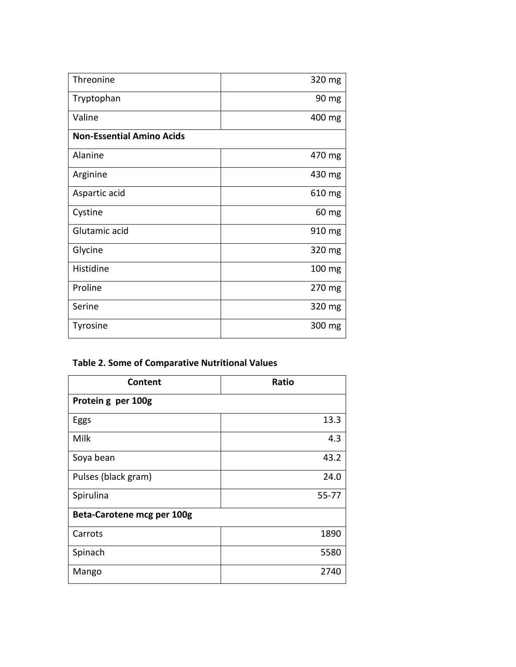| Threonine                        | 320 mg           |  |
|----------------------------------|------------------|--|
| Tryptophan                       | 90 mg            |  |
| Valine                           | 400 mg           |  |
| <b>Non-Essential Amino Acids</b> |                  |  |
| Alanine                          | 470 mg           |  |
| Arginine                         | 430 mg           |  |
| Aspartic acid                    | 610 mg           |  |
| Cystine                          | 60 mg            |  |
| Glutamic acid                    | 910 mg           |  |
| Glycine                          | 320 mg           |  |
| Histidine                        | $100 \text{ mg}$ |  |
| Proline                          | 270 mg           |  |
| Serine                           | 320 mg           |  |
| Tyrosine                         | 300 mg           |  |

# **Table 2. Some of Comparative Nutritional Values**

| Content                    | Ratio |  |
|----------------------------|-------|--|
| Protein g per 100g         |       |  |
| Eggs                       | 13.3  |  |
| Milk                       | 4.3   |  |
| Soya bean                  | 43.2  |  |
| Pulses (black gram)        | 24.0  |  |
| Spirulina                  | 55-77 |  |
| Beta-Carotene mcg per 100g |       |  |
| Carrots                    | 1890  |  |
| Spinach                    | 5580  |  |
| Mango                      | 2740  |  |